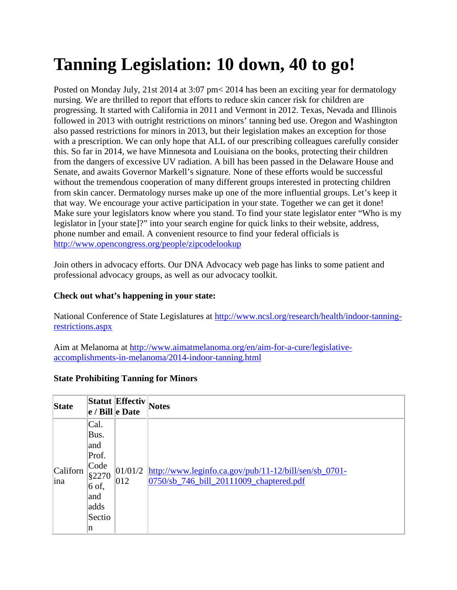## **Tanning Legislation: 10 down, 40 to go!**

Posted on Monday July, 21st 2014 at 3:07 pm< 2014 has been an exciting year for dermatology nursing. We are thrilled to report that efforts to reduce skin cancer risk for children are progressing. It started with California in 2011 and Vermont in 2012. Texas, Nevada and Illinois followed in 2013 with outright restrictions on minors' tanning bed use. Oregon and Washington also passed restrictions for minors in 2013, but their legislation makes an exception for those with a prescription. We can only hope that ALL of our prescribing colleagues carefully consider this. So far in 2014, we have Minnesota and Louisiana on the books, protecting their children from the dangers of excessive UV radiation. A bill has been passed in the Delaware House and Senate, and awaits Governor Markell's signature. None of these efforts would be successful without the tremendous cooperation of many different groups interested in protecting children from skin cancer. Dermatology nurses make up one of the more influential groups. Let's keep it that way. We encourage your active participation in your state. Together we can get it done! Make sure your legislators know where you stand. To find your state legislator enter "Who is my legislator in [your state]?" into your search engine for quick links to their website, address, phone number and email. A convenient resource to find your federal officials is <http://www.opencongress.org/people/zipcodelookup>

Join others in advocacy efforts. Our DNA Advocacy web page has links to some patient and professional advocacy groups, as well as our advocacy toolkit.

## **Check out what's happening in your state:**

National Conference of State Legislatures at [http://www.ncsl.org/research/health/indoor-tanning](http://www.ncsl.org/research/health/indoor-tanning-restrictions.aspx)[restrictions.aspx](http://www.ncsl.org/research/health/indoor-tanning-restrictions.aspx)

Aim at Melanoma at [http://www.aimatmelanoma.org/en/aim-for-a-cure/legislative](http://www.aimatmelanoma.org/en/aim-for-a-cure/legislative-accomplishments-in-melanoma/2014-indoor-tanning.html)[accomplishments-in-melanoma/2014-indoor-tanning.html](http://www.aimatmelanoma.org/en/aim-for-a-cure/legislative-accomplishments-in-melanoma/2014-indoor-tanning.html)

## **State Prohibiting Tanning for Minors**

| <b>State</b>    |                                                                                                | Statut Effectiv<br>$ e /$ Bill $ e$ Date | <b>Notes</b>                                                                                                |
|-----------------|------------------------------------------------------------------------------------------------|------------------------------------------|-------------------------------------------------------------------------------------------------------------|
| Californ<br>ina | Cal.<br>Bus.<br>and<br>Prof.<br>Code<br>§2270<br>$6 \text{ of},$<br>and<br>adds<br>Sectio<br>n | 01/01/2 <br>$ 012\rangle$                | $\frac{http://www.leginfo.ca.gov/public/11-12/bill/sen/sb_0701-$<br>0750/sb_746_bill_20111009_chaptered.pdf |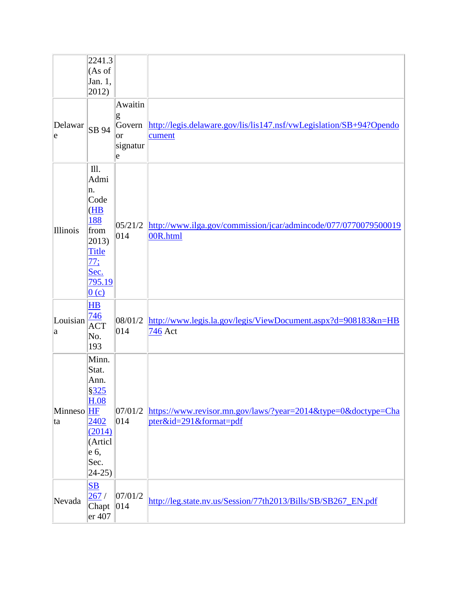|                  | 2241.3<br>(As of<br>Jan. 1,<br>2012)                                                                        |                                                |                                                                                         |
|------------------|-------------------------------------------------------------------------------------------------------------|------------------------------------------------|-----------------------------------------------------------------------------------------|
| Delawar<br>e     | SB 94                                                                                                       | Awaitin<br>g<br>Govern<br> or<br>signatur<br>e | http://legis.delaware.gov/lis/lis147.nsf/vwLegislation/SB+94?Opendo<br>cument           |
| Illinois         | III.<br>Admi<br>n.<br>Code<br>(HB)<br>188<br>from<br>2013)<br><b>Title</b><br>77:<br>Sec.<br>795.19<br>0(c) | 05/21/2 <br>014                                | http://www.ilga.gov/commission/jcar/admincode/077/0770079500019<br>00R.html             |
| Louisian<br> a   | $H\!B$<br>746<br><b>ACT</b><br>No.<br>193                                                                   | 08/01/2<br> 014                                | http://www.legis.la.gov/legis/ViewDocument.aspx?d=908183&n=HB<br>746 Act                |
| Minneso HF<br>ta | Minn.<br>Stat.<br>Ann.<br>\$325<br>H.08<br>2402<br>(2014)<br>(Articl<br>e 6,<br>Sec.<br>$24-25$             | 07/01/2<br>014                                 | https://www.revisor.mn.gov/laws/?year=2014&type=0&doctype=Cha<br>pter&id=291&format=pdf |
| Nevada           | $\overline{\textbf{S}}$<br>267/<br>Chapt<br>er 407                                                          | 07/01/2<br>014                                 | http://leg.state.nv.us/Session/77th2013/Bills/SB/SB267_EN.pdf                           |